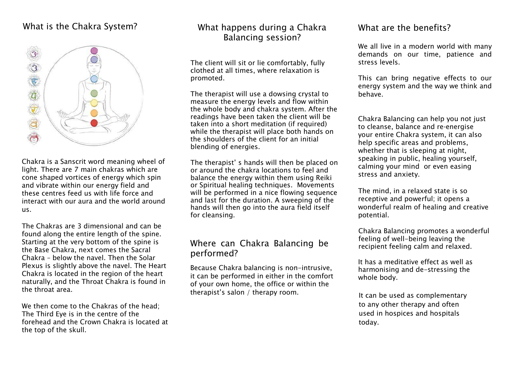# What is the Chakra System?



Chakra is a Sanscrit word meaning wheel of light. There are 7 main chakras which are cone shaped vortices of energy which spin and vibrate within our energy field and these centres feed us with life force and interact with our aura and the world around us.

The Chakras are 3 dimensional and can be found along the entire length of the spine. Starting at the very bottom of the spine is the Base Chakra, next comes the Sacral Chakra – below the navel. Then the Solar Plexus is slightly above the navel. The Heart Chakra is located in the region of the heart naturally, and the Throat Chakra is found in the throat area.

We then come to the Chakras of the head: The Third Eye is in the centre of the forehead and the Crown Chakra is located at the top of the skull.

# What happens during a Chakra Balancing session?

The client will sit or lie comfortably, fully clothed at all times, where relaxation is promoted.

The therapist will use a dowsing crystal to measure the energy levels and flow within the whole body and chakra system. After the readings have been taken the client will be taken into a short meditation (if required) while the therapist will place both hands on the shoulders of the client for an initial blending of energies.

The therapist' s hands will then be placed on or around the chakra locations to feel and balance the energy within them using Reiki or Spiritual healing techniques. Movements will be performed in a nice flowing sequence and last for the duration. A sweeping of the hands will then go into the aura field itself for cleansing.

### Where can Chakra Balancing be performed?

Because Chakra balancing is non-intrusive, it can be performed in either in the comfort of your own home, the office or within the therapist's salon / therapy room.

#### What are the benefits?

We all live in a modern world with many demands on our time, patience and stress levels.

This can bring negative effects to our energy system and the way we think and behave.

Chakra Balancing can help you not just to cleanse, balance and re-energise your entire Chakra system, it can also help specific areas and problems, whether that is sleeping at night, speaking in public, healing yourself, calming your mind or even easing stress and anxiety.

The mind, in a relaxed state is so receptive and powerful; it opens a wonderful realm of healing and creative potential.

Chakra Balancing promotes a wonderful feeling of well-being leaving the recipient feeling calm and relaxed.

It has a meditative effect as well as harmonising and de-stressing the whole body.

It can be used as complementary to any other therapy and often used in hospices and hospitals today.